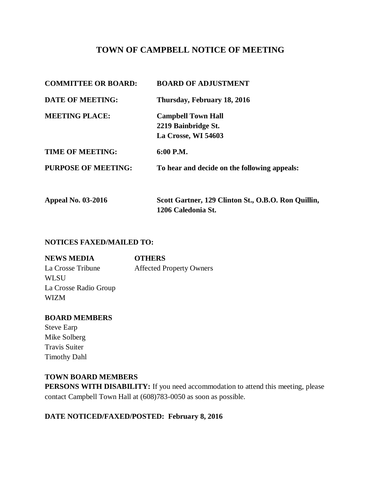# **TOWN OF CAMPBELL NOTICE OF MEETING**

| <b>COMMITTEE OR BOARD:</b> | <b>BOARD OF ADJUSTMENT</b>                                                |
|----------------------------|---------------------------------------------------------------------------|
| <b>DATE OF MEETING:</b>    | Thursday, February 18, 2016                                               |
| <b>MEETING PLACE:</b>      | <b>Campbell Town Hall</b><br>2219 Bainbridge St.<br>La Crosse, WI 54603   |
| <b>TIME OF MEETING:</b>    | $6:00$ P.M.                                                               |
| <b>PURPOSE OF MEETING:</b> | To hear and decide on the following appeals:                              |
| <b>Appeal No. 03-2016</b>  | Scott Gartner, 129 Clinton St., O.B.O. Ron Quillin,<br>1206 Caledonia St. |

#### **NOTICES FAXED/MAILED TO:**

| <b>NEWS MEDIA</b>     | <b>OTHERS</b>                   |
|-----------------------|---------------------------------|
| La Crosse Tribune     | <b>Affected Property Owners</b> |
| <b>WLSU</b>           |                                 |
| La Crosse Radio Group |                                 |
| <b>WIZM</b>           |                                 |

### **BOARD MEMBERS**

Steve Earp Mike Solberg Travis Suiter Timothy Dahl

#### **TOWN BOARD MEMBERS**

**PERSONS WITH DISABILITY:** If you need accommodation to attend this meeting, please contact Campbell Town Hall at (608)783-0050 as soon as possible.

# **DATE NOTICED/FAXED/POSTED: February 8, 2016**